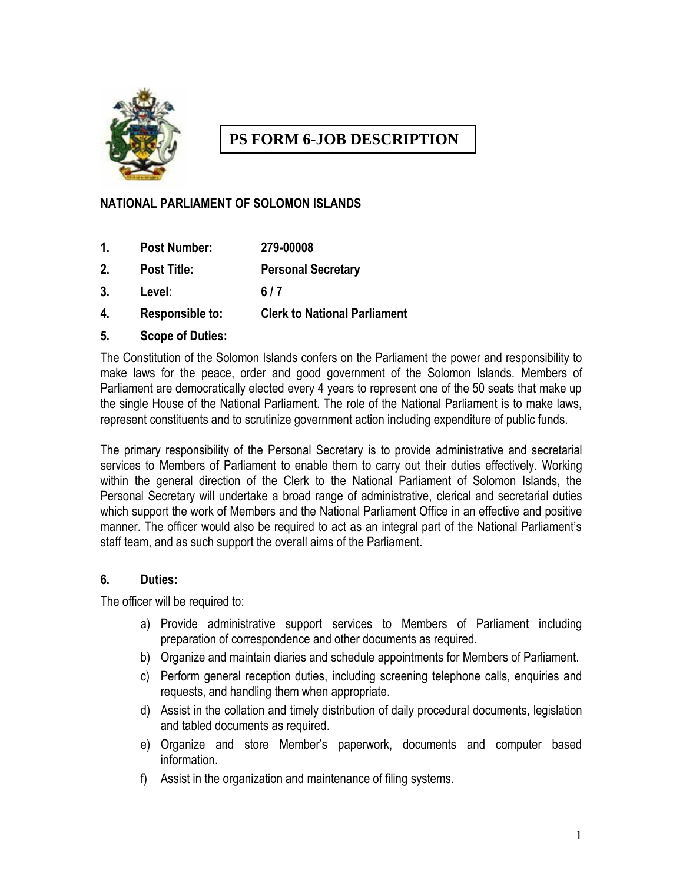

# **PS FORM 6-JOB DESCRIPTION**

### **NATIONAL PARLIAMENT OF SOLOMON ISLANDS**

- **1. Post Number: 279-00008**
- **2. Post Title: Personal Secretary**
- **3. Level**: **6 / 7**
- **4. Responsible to: Clerk to National Parliament**
- **5. Scope of Duties:**

The Constitution of the Solomon Islands confers on the Parliament the power and responsibility to make laws for the peace, order and good government of the Solomon Islands. Members of Parliament are democratically elected every 4 years to represent one of the 50 seats that make up the single House of the National Parliament. The role of the National Parliament is to make laws, represent constituents and to scrutinize government action including expenditure of public funds.

The primary responsibility of the Personal Secretary is to provide administrative and secretarial services to Members of Parliament to enable them to carry out their duties effectively. Working within the general direction of the Clerk to the National Parliament of Solomon Islands, the Personal Secretary will undertake a broad range of administrative, clerical and secretarial duties which support the work of Members and the National Parliament Office in an effective and positive manner. The officer would also be required to act as an integral part of the National Parliament's staff team, and as such support the overall aims of the Parliament.

#### **6. Duties:**

The officer will be required to:

- a) Provide administrative support services to Members of Parliament including preparation of correspondence and other documents as required.
- b) Organize and maintain diaries and schedule appointments for Members of Parliament.
- c) Perform general reception duties, including screening telephone calls, enquiries and requests, and handling them when appropriate.
- d) Assist in the collation and timely distribution of daily procedural documents, legislation and tabled documents as required.
- e) Organize and store Member's paperwork, documents and computer based information.
- f) Assist in the organization and maintenance of filing systems.